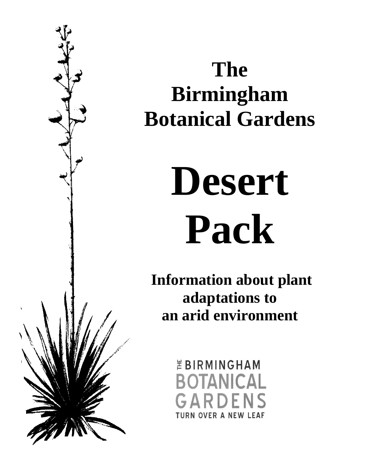

### **The Birmingham Botanical Gardens**

# **Desert Pack**

**Information about plant adaptations to an arid environment**

> *EBIRMINGHAM* **BOTANICAL** GARDENS **TURN OVER A NEW LEAF**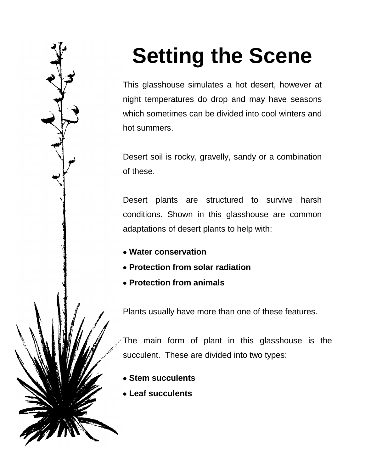# **Setting the Scene**

This glasshouse simulates a hot desert, however at night temperatures do drop and may have seasons which sometimes can be divided into cool winters and hot summers.

Desert soil is rocky, gravelly, sandy or a combination of these.

Desert plants are structured to survive harsh conditions. Shown in this glasshouse are common adaptations of desert plants to help with:

- **Water conservation**
- **Protection from solar radiation**
- **Protection from animals**

Plants usually have more than one of these features.

The main form of plant in this glasshouse is the succulent. These are divided into two types:

- **Stem succulents**
- **Leaf succulents**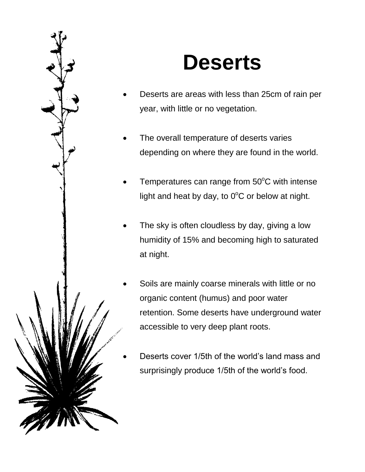

### **Deserts**

- Deserts are areas with less than 25cm of rain per year, with little or no vegetation.
- The overall temperature of deserts varies depending on where they are found in the world.
- Temperatures can range from  $50^{\circ}$ C with intense light and heat by day, to  $0^{\circ}$ C or below at night.
- The sky is often cloudless by day, giving a low humidity of 15% and becoming high to saturated at night.
- Soils are mainly coarse minerals with little or no organic content (humus) and poor water retention. Some deserts have underground water accessible to very deep plant roots.
- Deserts cover 1/5th of the world's land mass and surprisingly produce 1/5th of the world's food.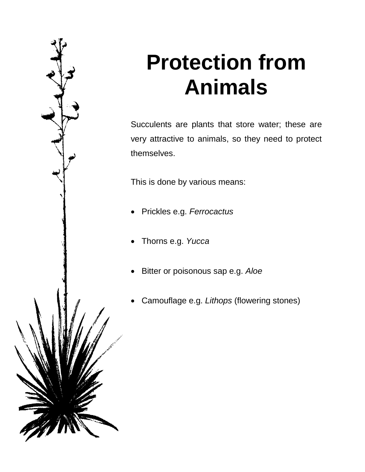

### **Protection from Animals**

Succulents are plants that store water; these are very attractive to animals, so they need to protect themselves.

This is done by various means:

- Prickles e.g. *Ferrocactus*
- Thorns e.g. *Yucca*
- Bitter or poisonous sap e.g. *Aloe*
- Camouflage e.g. *Lithops* (flowering stones)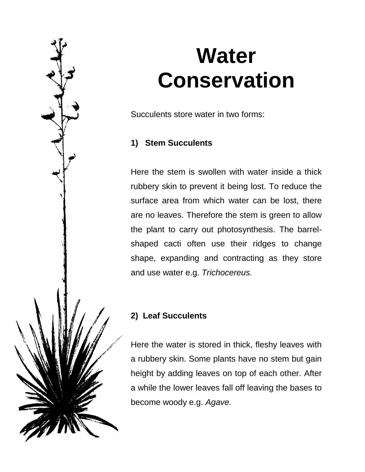

### **Water Conservation**

Succulents store water in two forms:

### **1) Stem Succulents**

Here the stem is swollen with water inside a thick rubbery skin to prevent it being lost. To reduce the surface area from which water can be lost, there are no leaves. Therefore the stem is green to allow the plant to carry out photosynthesis. The barrelshaped cacti often use their ridges to change shape, expanding and contracting as they store and use water e.g. *Trichocereus.*

### **2) Leaf Succulents**

Here the water is stored in thick, fleshy leaves with a rubbery skin. Some plants have no stem but gain height by adding leaves on top of each other. After a while the lower leaves fall off leaving the bases to become woody e.g. *Agave.*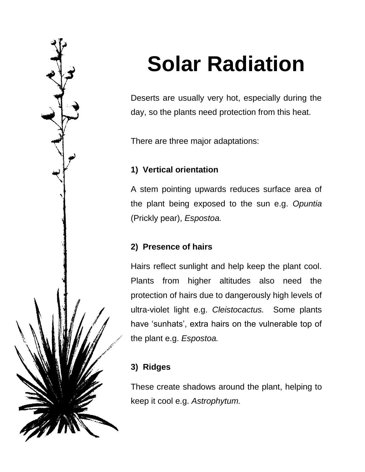

# **Solar Radiation**

Deserts are usually very hot, especially during the day, so the plants need protection from this heat.

There are three major adaptations:

### **1) Vertical orientation**

A stem pointing upwards reduces surface area of the plant being exposed to the sun e.g. *Opuntia*  (Prickly pear), *Espostoa.*

### **2) Presence of hairs**

Hairs reflect sunlight and help keep the plant cool. Plants from higher altitudes also need the protection of hairs due to dangerously high levels of ultra-violet light e.g. *Cleistocactus.* Some plants have 'sunhats', extra hairs on the vulnerable top of the plant e.g. *Espostoa.*

### **3) Ridges**

These create shadows around the plant, helping to keep it cool e.g. *Astrophytum.*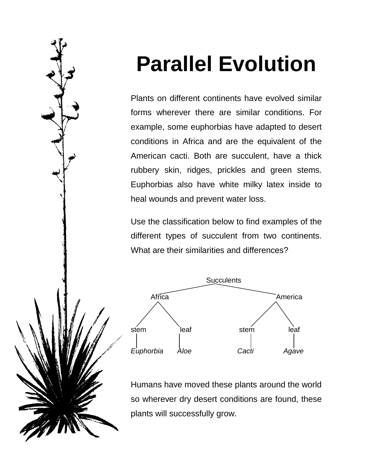# **Parallel Evolution**

Plants on different continents have evolved similar forms wherever there are similar conditions. For example, some euphorbias have adapted to desert conditions in Africa and are the equivalent of the American cacti. Both are succulent, have a thick rubbery skin, ridges, prickles and green stems. Euphorbias also have white milky latex inside to heal wounds and prevent water loss.

Use the classification below to find examples of the different types of succulent from two continents. What are their similarities and differences?



Humans have moved these plants around the world so wherever dry desert conditions are found, these plants will successfully grow.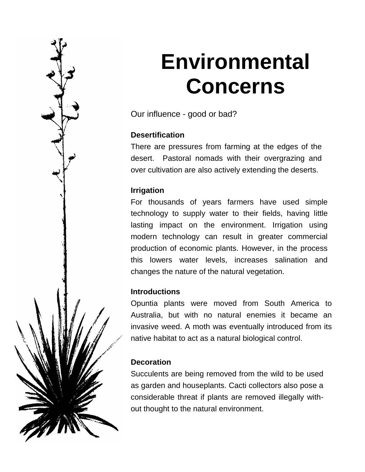### **Environmental Concerns**

Our influence - good or bad?

#### **Desertification**

There are pressures from farming at the edges of the desert. Pastoral nomads with their overgrazing and over cultivation are also actively extending the deserts.

#### **Irrigation**

For thousands of years farmers have used simple technology to supply water to their fields, having little lasting impact on the environment. Irrigation using modern technology can result in greater commercial production of economic plants. However, in the process this lowers water levels, increases salination and changes the nature of the natural vegetation.

#### **Introductions**

Opuntia plants were moved from South America to Australia, but with no natural enemies it became an invasive weed. A moth was eventually introduced from its native habitat to act as a natural biological control.

#### **Decoration**

Succulents are being removed from the wild to be used as garden and houseplants. Cacti collectors also pose a considerable threat if plants are removed illegally without thought to the natural environment.